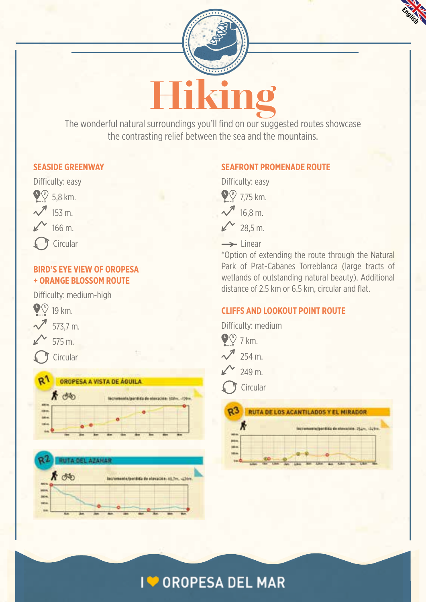



The wonderful natural surroundings you'll find on our suggested routes showcase the contrasting relief between the sea and the mountains.

#### **SEASIDE GREENWAY**



#### **BIRD'S EYE VIEW OF OROPESA + ORANGE BLOSSOM ROUTE**

Difficulty: medium-high



**Circular** 





#### **SEAFRONT PROMENADE ROUTE**



 $\rightarrow$  linear

\*Option of extending the route through the Natural Park of Prat-Cabanes Torreblanca (large tracts of wetlands of outstanding natural beauty). Additional distance of 2.5 km or 6.5 km, circular and flat.

## **CLIFFS AND LOOKOUT POINT ROUTE**

Difficulty: medium



## **I ● OROPESA DEL MAR**